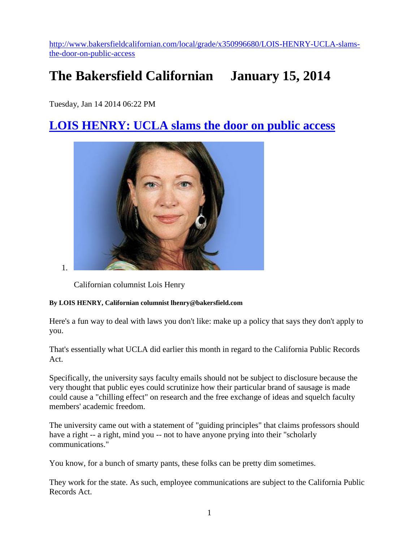[http://www.bakersfieldcalifornian.com/local/grade/x350996680/LOIS-HENRY-UCLA-slams](http://www.bakersfieldcalifornian.com/local/grade/x350996680/LOIS-HENRY-UCLA-slams-the-door-on-public-access)[the-door-on-public-access](http://www.bakersfieldcalifornian.com/local/grade/x350996680/LOIS-HENRY-UCLA-slams-the-door-on-public-access)

## **The Bakersfield Californian January 15, 2014**

Tuesday, Jan 14 2014 06:22 PM

## **[LOIS HENRY: UCLA slams the door on public access](http://www.bakersfieldcalifornian.com/local/grade/x350996680/LOIS-HENRY-UCLA-slams-the-door-on-public-access)**



1.

Californian columnist Lois Henry

## **By LOIS HENRY, Californian columnist lhenry@bakersfield.com**

Here's a fun way to deal with laws you don't like: make up a policy that says they don't apply to you.

That's essentially what UCLA did earlier this month in regard to the California Public Records Act.

Specifically, the university says faculty emails should not be subject to disclosure because the very thought that public eyes could scrutinize how their particular brand of sausage is made could cause a "chilling effect" on research and the free exchange of ideas and squelch faculty members' academic freedom.

The university came out with a statement of "guiding principles" that claims professors should have a right -- a right, mind you -- not to have anyone prying into their "scholarly communications."

You know, for a bunch of smarty pants, these folks can be pretty dim sometimes.

They work for the state. As such, employee communications are subject to the California Public Records Act.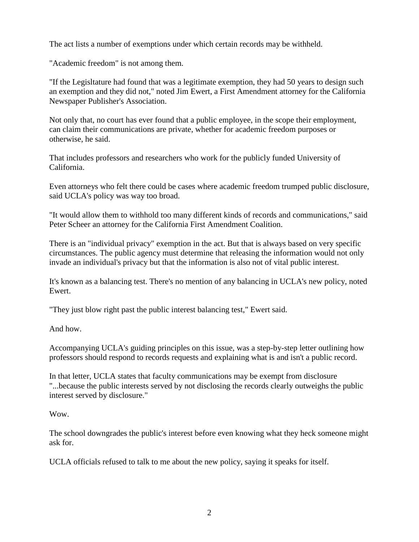The act lists a number of exemptions under which certain records may be withheld.

"Academic freedom" is not among them.

"If the Legisltature had found that was a legitimate exemption, they had 50 years to design such an exemption and they did not," noted Jim Ewert, a First Amendment attorney for the California Newspaper Publisher's Association.

Not only that, no court has ever found that a public employee, in the scope their employment, can claim their communications are private, whether for academic freedom purposes or otherwise, he said.

That includes professors and researchers who work for the publicly funded University of California.

Even attorneys who felt there could be cases where academic freedom trumped public disclosure, said UCLA's policy was way too broad.

"It would allow them to withhold too many different kinds of records and communications," said Peter Scheer an attorney for the California First Amendment Coalition.

There is an "individual privacy" exemption in the act. But that is always based on very specific circumstances. The public agency must determine that releasing the information would not only invade an individual's privacy but that the information is also not of vital public interest.

It's known as a balancing test. There's no mention of any balancing in UCLA's new policy, noted Ewert.

"They just blow right past the public interest balancing test," Ewert said.

And how.

Accompanying UCLA's guiding principles on this issue, was a step-by-step letter outlining how professors should respond to records requests and explaining what is and isn't a public record.

In that letter, UCLA states that faculty communications may be exempt from disclosure "...because the public interests served by not disclosing the records clearly outweighs the public interest served by disclosure."

Wow.

The school downgrades the public's interest before even knowing what they heck someone might ask for.

UCLA officials refused to talk to me about the new policy, saying it speaks for itself.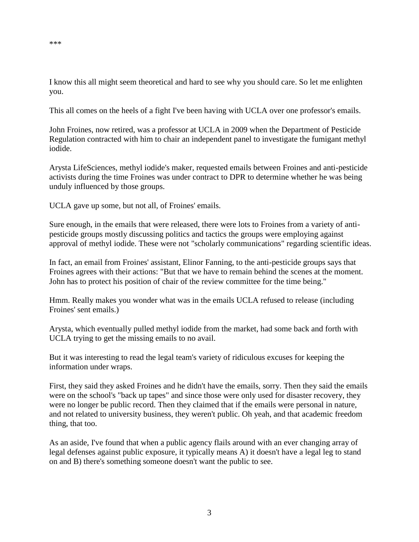I know this all might seem theoretical and hard to see why you should care. So let me enlighten you.

This all comes on the heels of a fight I've been having with UCLA over one professor's emails.

John Froines, now retired, was a professor at UCLA in 2009 when the Department of Pesticide Regulation contracted with him to chair an independent panel to investigate the fumigant methyl iodide.

Arysta LifeSciences, methyl iodide's maker, requested emails between Froines and anti-pesticide activists during the time Froines was under contract to DPR to determine whether he was being unduly influenced by those groups.

UCLA gave up some, but not all, of Froines' emails.

Sure enough, in the emails that were released, there were lots to Froines from a variety of antipesticide groups mostly discussing politics and tactics the groups were employing against approval of methyl iodide. These were not "scholarly communications" regarding scientific ideas.

In fact, an email from Froines' assistant, Elinor Fanning, to the anti-pesticide groups says that Froines agrees with their actions: "But that we have to remain behind the scenes at the moment. John has to protect his position of chair of the review committee for the time being."

Hmm. Really makes you wonder what was in the emails UCLA refused to release (including Froines' sent emails.)

Arysta, which eventually pulled methyl iodide from the market, had some back and forth with UCLA trying to get the missing emails to no avail.

But it was interesting to read the legal team's variety of ridiculous excuses for keeping the information under wraps.

First, they said they asked Froines and he didn't have the emails, sorry. Then they said the emails were on the school's "back up tapes" and since those were only used for disaster recovery, they were no longer be public record. Then they claimed that if the emails were personal in nature, and not related to university business, they weren't public. Oh yeah, and that academic freedom thing, that too.

As an aside, I've found that when a public agency flails around with an ever changing array of legal defenses against public exposure, it typically means A) it doesn't have a legal leg to stand on and B) there's something someone doesn't want the public to see.